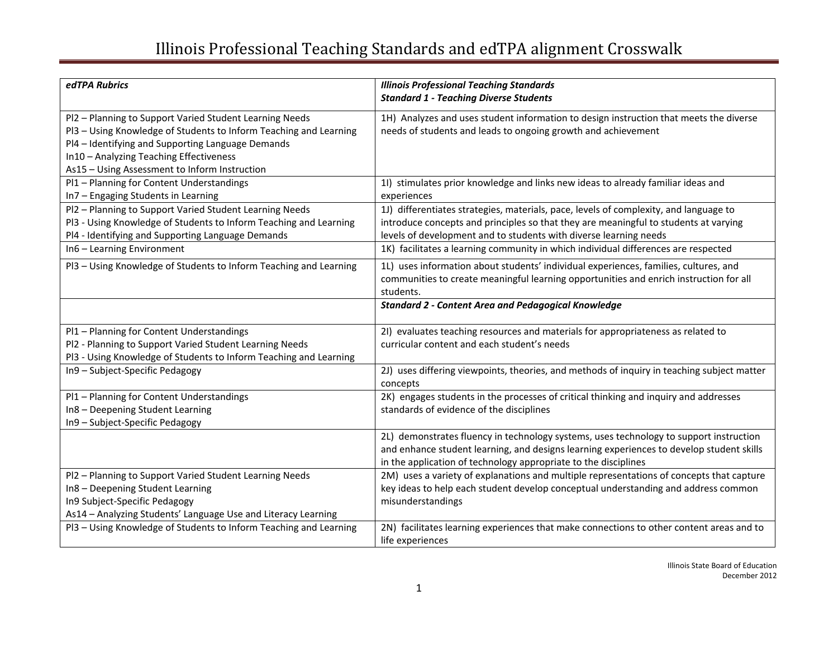| edTPA Rubrics                                                                                                                                                                                                                                                                 | <b>Illinois Professional Teaching Standards</b>                                                                                                                                                                                                                                                                                          |
|-------------------------------------------------------------------------------------------------------------------------------------------------------------------------------------------------------------------------------------------------------------------------------|------------------------------------------------------------------------------------------------------------------------------------------------------------------------------------------------------------------------------------------------------------------------------------------------------------------------------------------|
|                                                                                                                                                                                                                                                                               | <b>Standard 1 - Teaching Diverse Students</b>                                                                                                                                                                                                                                                                                            |
| Pl2 - Planning to Support Varied Student Learning Needs<br>PI3 - Using Knowledge of Students to Inform Teaching and Learning<br>PI4 - Identifying and Supporting Language Demands<br>In10 - Analyzing Teaching Effectiveness<br>As15 - Using Assessment to Inform Instruction | 1H) Analyzes and uses student information to design instruction that meets the diverse<br>needs of students and leads to ongoing growth and achievement                                                                                                                                                                                  |
| Pl1 - Planning for Content Understandings<br>In7 - Engaging Students in Learning                                                                                                                                                                                              | 11) stimulates prior knowledge and links new ideas to already familiar ideas and<br>experiences                                                                                                                                                                                                                                          |
| Pl2 - Planning to Support Varied Student Learning Needs<br>PI3 - Using Knowledge of Students to Inform Teaching and Learning<br>Pl4 - Identifying and Supporting Language Demands<br>In6 - Learning Environment                                                               | 1J) differentiates strategies, materials, pace, levels of complexity, and language to<br>introduce concepts and principles so that they are meaningful to students at varying<br>levels of development and to students with diverse learning needs<br>1K) facilitates a learning community in which individual differences are respected |
| PI3 - Using Knowledge of Students to Inform Teaching and Learning                                                                                                                                                                                                             | 1L) uses information about students' individual experiences, families, cultures, and<br>communities to create meaningful learning opportunities and enrich instruction for all<br>students.                                                                                                                                              |
|                                                                                                                                                                                                                                                                               | <b>Standard 2 - Content Area and Pedagogical Knowledge</b>                                                                                                                                                                                                                                                                               |
| Pl1 - Planning for Content Understandings<br>Pl2 - Planning to Support Varied Student Learning Needs<br>Pl3 - Using Knowledge of Students to Inform Teaching and Learning                                                                                                     | 2I) evaluates teaching resources and materials for appropriateness as related to<br>curricular content and each student's needs                                                                                                                                                                                                          |
| In9 - Subject-Specific Pedagogy                                                                                                                                                                                                                                               | 2J) uses differing viewpoints, theories, and methods of inquiry in teaching subject matter<br>concepts                                                                                                                                                                                                                                   |
| Pl1 - Planning for Content Understandings<br>In8 - Deepening Student Learning<br>In9 - Subject-Specific Pedagogy                                                                                                                                                              | 2K) engages students in the processes of critical thinking and inquiry and addresses<br>standards of evidence of the disciplines                                                                                                                                                                                                         |
|                                                                                                                                                                                                                                                                               | 2L) demonstrates fluency in technology systems, uses technology to support instruction<br>and enhance student learning, and designs learning experiences to develop student skills<br>in the application of technology appropriate to the disciplines                                                                                    |
| Pl2 - Planning to Support Varied Student Learning Needs<br>In8 - Deepening Student Learning<br>In9 Subject-Specific Pedagogy<br>As14 - Analyzing Students' Language Use and Literacy Learning                                                                                 | 2M) uses a variety of explanations and multiple representations of concepts that capture<br>key ideas to help each student develop conceptual understanding and address common<br>misunderstandings                                                                                                                                      |
| PI3 - Using Knowledge of Students to Inform Teaching and Learning                                                                                                                                                                                                             | 2N) facilitates learning experiences that make connections to other content areas and to<br>life experiences                                                                                                                                                                                                                             |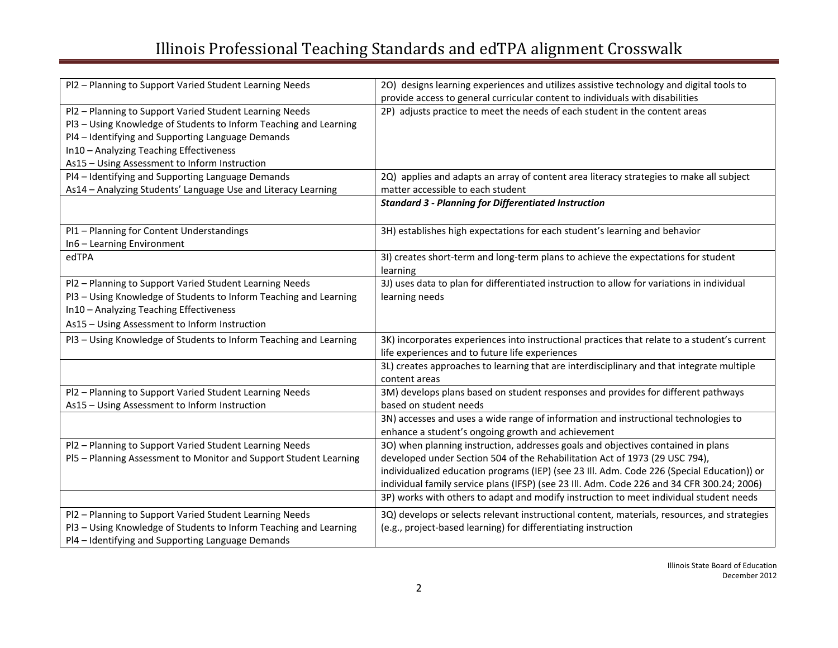| Pl2 - Planning to Support Varied Student Learning Needs                                                                                                                                                                                                                       | 20) designs learning experiences and utilizes assistive technology and digital tools to<br>provide access to general curricular content to individuals with disabilities                                                                                                                                                                                                                                                                              |
|-------------------------------------------------------------------------------------------------------------------------------------------------------------------------------------------------------------------------------------------------------------------------------|-------------------------------------------------------------------------------------------------------------------------------------------------------------------------------------------------------------------------------------------------------------------------------------------------------------------------------------------------------------------------------------------------------------------------------------------------------|
| Pl2 - Planning to Support Varied Student Learning Needs<br>PI3 - Using Knowledge of Students to Inform Teaching and Learning<br>Pl4 - Identifying and Supporting Language Demands<br>In10 - Analyzing Teaching Effectiveness<br>As15 - Using Assessment to Inform Instruction | 2P) adjusts practice to meet the needs of each student in the content areas                                                                                                                                                                                                                                                                                                                                                                           |
| Pl4 - Identifying and Supporting Language Demands<br>As14 - Analyzing Students' Language Use and Literacy Learning                                                                                                                                                            | 2Q) applies and adapts an array of content area literacy strategies to make all subject<br>matter accessible to each student                                                                                                                                                                                                                                                                                                                          |
|                                                                                                                                                                                                                                                                               | <b>Standard 3 - Planning for Differentiated Instruction</b>                                                                                                                                                                                                                                                                                                                                                                                           |
| Pl1 - Planning for Content Understandings<br>In6 - Learning Environment                                                                                                                                                                                                       | 3H) establishes high expectations for each student's learning and behavior                                                                                                                                                                                                                                                                                                                                                                            |
| edTPA                                                                                                                                                                                                                                                                         | 3I) creates short-term and long-term plans to achieve the expectations for student<br>learning                                                                                                                                                                                                                                                                                                                                                        |
| Pl2 - Planning to Support Varied Student Learning Needs<br>PI3 - Using Knowledge of Students to Inform Teaching and Learning<br>In10 - Analyzing Teaching Effectiveness<br>As15 - Using Assessment to Inform Instruction                                                      | 3J) uses data to plan for differentiated instruction to allow for variations in individual<br>learning needs                                                                                                                                                                                                                                                                                                                                          |
| PI3 - Using Knowledge of Students to Inform Teaching and Learning                                                                                                                                                                                                             | 3K) incorporates experiences into instructional practices that relate to a student's current<br>life experiences and to future life experiences                                                                                                                                                                                                                                                                                                       |
|                                                                                                                                                                                                                                                                               | 3L) creates approaches to learning that are interdisciplinary and that integrate multiple<br>content areas                                                                                                                                                                                                                                                                                                                                            |
| Pl2 - Planning to Support Varied Student Learning Needs<br>As15 - Using Assessment to Inform Instruction                                                                                                                                                                      | 3M) develops plans based on student responses and provides for different pathways<br>based on student needs                                                                                                                                                                                                                                                                                                                                           |
|                                                                                                                                                                                                                                                                               | 3N) accesses and uses a wide range of information and instructional technologies to<br>enhance a student's ongoing growth and achievement                                                                                                                                                                                                                                                                                                             |
| Pl2 - Planning to Support Varied Student Learning Needs<br>PI5 - Planning Assessment to Monitor and Support Student Learning                                                                                                                                                  | 30) when planning instruction, addresses goals and objectives contained in plans<br>developed under Section 504 of the Rehabilitation Act of 1973 (29 USC 794),<br>individualized education programs (IEP) (see 23 III. Adm. Code 226 (Special Education)) or<br>individual family service plans (IFSP) (see 23 Ill. Adm. Code 226 and 34 CFR 300.24; 2006)<br>3P) works with others to adapt and modify instruction to meet individual student needs |
| Pl2 - Planning to Support Varied Student Learning Needs<br>PI3 - Using Knowledge of Students to Inform Teaching and Learning<br>Pl4 - Identifying and Supporting Language Demands                                                                                             | 3Q) develops or selects relevant instructional content, materials, resources, and strategies<br>(e.g., project-based learning) for differentiating instruction                                                                                                                                                                                                                                                                                        |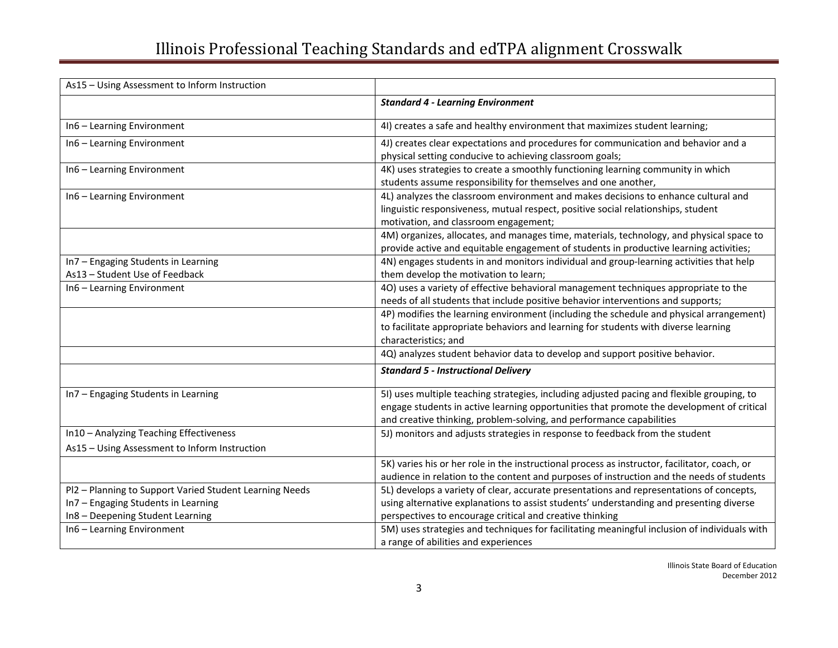| As15 - Using Assessment to Inform Instruction                                                                                      |                                                                                                                                                                                                                                                                 |
|------------------------------------------------------------------------------------------------------------------------------------|-----------------------------------------------------------------------------------------------------------------------------------------------------------------------------------------------------------------------------------------------------------------|
|                                                                                                                                    | <b>Standard 4 - Learning Environment</b>                                                                                                                                                                                                                        |
| In6 - Learning Environment                                                                                                         | 4I) creates a safe and healthy environment that maximizes student learning;                                                                                                                                                                                     |
| In6 - Learning Environment                                                                                                         | 4J) creates clear expectations and procedures for communication and behavior and a<br>physical setting conducive to achieving classroom goals;                                                                                                                  |
| In6 - Learning Environment                                                                                                         | 4K) uses strategies to create a smoothly functioning learning community in which<br>students assume responsibility for themselves and one another,                                                                                                              |
| In6 - Learning Environment                                                                                                         | 4L) analyzes the classroom environment and makes decisions to enhance cultural and<br>linguistic responsiveness, mutual respect, positive social relationships, student<br>motivation, and classroom engagement;                                                |
|                                                                                                                                    | 4M) organizes, allocates, and manages time, materials, technology, and physical space to<br>provide active and equitable engagement of students in productive learning activities;                                                                              |
| In7 - Engaging Students in Learning<br>As13 - Student Use of Feedback                                                              | 4N) engages students in and monitors individual and group-learning activities that help<br>them develop the motivation to learn;                                                                                                                                |
| In6 - Learning Environment                                                                                                         | 4O) uses a variety of effective behavioral management techniques appropriate to the<br>needs of all students that include positive behavior interventions and supports;                                                                                         |
|                                                                                                                                    | 4P) modifies the learning environment (including the schedule and physical arrangement)<br>to facilitate appropriate behaviors and learning for students with diverse learning<br>characteristics; and                                                          |
|                                                                                                                                    | 4Q) analyzes student behavior data to develop and support positive behavior.                                                                                                                                                                                    |
|                                                                                                                                    | <b>Standard 5 - Instructional Delivery</b>                                                                                                                                                                                                                      |
| In7 - Engaging Students in Learning                                                                                                | 5I) uses multiple teaching strategies, including adjusted pacing and flexible grouping, to<br>engage students in active learning opportunities that promote the development of critical<br>and creative thinking, problem-solving, and performance capabilities |
| In10 - Analyzing Teaching Effectiveness<br>As15 - Using Assessment to Inform Instruction                                           | 5J) monitors and adjusts strategies in response to feedback from the student                                                                                                                                                                                    |
|                                                                                                                                    | 5K) varies his or her role in the instructional process as instructor, facilitator, coach, or<br>audience in relation to the content and purposes of instruction and the needs of students                                                                      |
| Pl2 - Planning to Support Varied Student Learning Needs<br>In7 - Engaging Students in Learning<br>In8 - Deepening Student Learning | 5L) develops a variety of clear, accurate presentations and representations of concepts,<br>using alternative explanations to assist students' understanding and presenting diverse<br>perspectives to encourage critical and creative thinking                 |
| In6 - Learning Environment                                                                                                         | 5M) uses strategies and techniques for facilitating meaningful inclusion of individuals with<br>a range of abilities and experiences                                                                                                                            |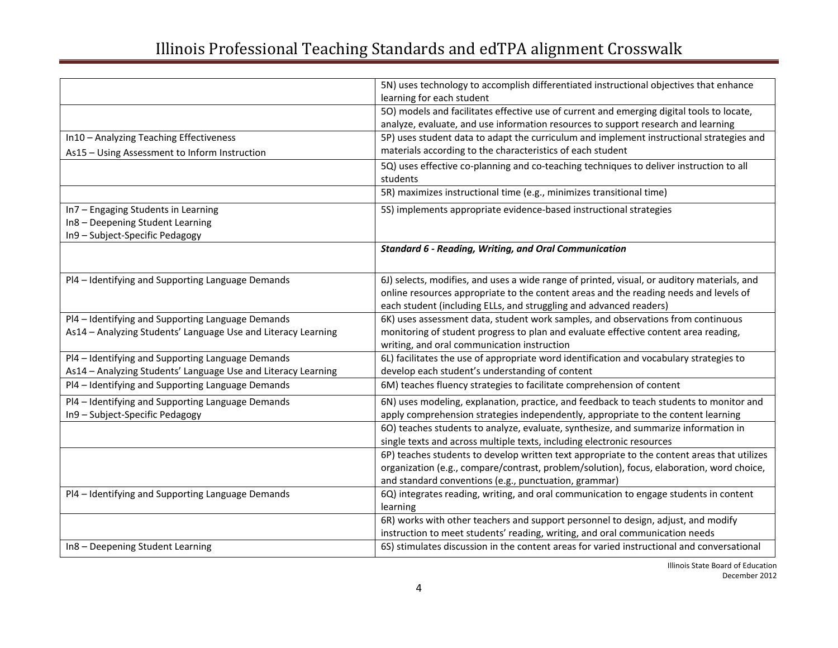|                                                               | 5N) uses technology to accomplish differentiated instructional objectives that enhance      |
|---------------------------------------------------------------|---------------------------------------------------------------------------------------------|
|                                                               | learning for each student                                                                   |
|                                                               | 50) models and facilitates effective use of current and emerging digital tools to locate,   |
|                                                               | analyze, evaluate, and use information resources to support research and learning           |
| In10 - Analyzing Teaching Effectiveness                       | 5P) uses student data to adapt the curriculum and implement instructional strategies and    |
| As15 - Using Assessment to Inform Instruction                 | materials according to the characteristics of each student                                  |
|                                                               | 5Q) uses effective co-planning and co-teaching techniques to deliver instruction to all     |
|                                                               | students                                                                                    |
|                                                               | 5R) maximizes instructional time (e.g., minimizes transitional time)                        |
| In7 - Engaging Students in Learning                           | 5S) implements appropriate evidence-based instructional strategies                          |
| In8 - Deepening Student Learning                              |                                                                                             |
| In9 - Subject-Specific Pedagogy                               |                                                                                             |
|                                                               | <b>Standard 6 - Reading, Writing, and Oral Communication</b>                                |
|                                                               |                                                                                             |
| Pl4 - Identifying and Supporting Language Demands             | 6J) selects, modifies, and uses a wide range of printed, visual, or auditory materials, and |
|                                                               | online resources appropriate to the content areas and the reading needs and levels of       |
|                                                               | each student (including ELLs, and struggling and advanced readers)                          |
| Pl4 - Identifying and Supporting Language Demands             | 6K) uses assessment data, student work samples, and observations from continuous            |
| As14 - Analyzing Students' Language Use and Literacy Learning | monitoring of student progress to plan and evaluate effective content area reading,         |
|                                                               | writing, and oral communication instruction                                                 |
| Pl4 - Identifying and Supporting Language Demands             | 6L) facilitates the use of appropriate word identification and vocabulary strategies to     |
| As14 - Analyzing Students' Language Use and Literacy Learning | develop each student's understanding of content                                             |
| Pl4 - Identifying and Supporting Language Demands             | 6M) teaches fluency strategies to facilitate comprehension of content                       |
| Pl4 - Identifying and Supporting Language Demands             | 6N) uses modeling, explanation, practice, and feedback to teach students to monitor and     |
| In9 - Subject-Specific Pedagogy                               | apply comprehension strategies independently, appropriate to the content learning           |
|                                                               | 60) teaches students to analyze, evaluate, synthesize, and summarize information in         |
|                                                               | single texts and across multiple texts, including electronic resources                      |
|                                                               | 6P) teaches students to develop written text appropriate to the content areas that utilizes |
|                                                               | organization (e.g., compare/contrast, problem/solution), focus, elaboration, word choice,   |
|                                                               | and standard conventions (e.g., punctuation, grammar)                                       |
| Pl4 - Identifying and Supporting Language Demands             | 6Q) integrates reading, writing, and oral communication to engage students in content       |
|                                                               | learning                                                                                    |
|                                                               | 6R) works with other teachers and support personnel to design, adjust, and modify           |
|                                                               | instruction to meet students' reading, writing, and oral communication needs                |
| In8 - Deepening Student Learning                              | 6S) stimulates discussion in the content areas for varied instructional and conversational  |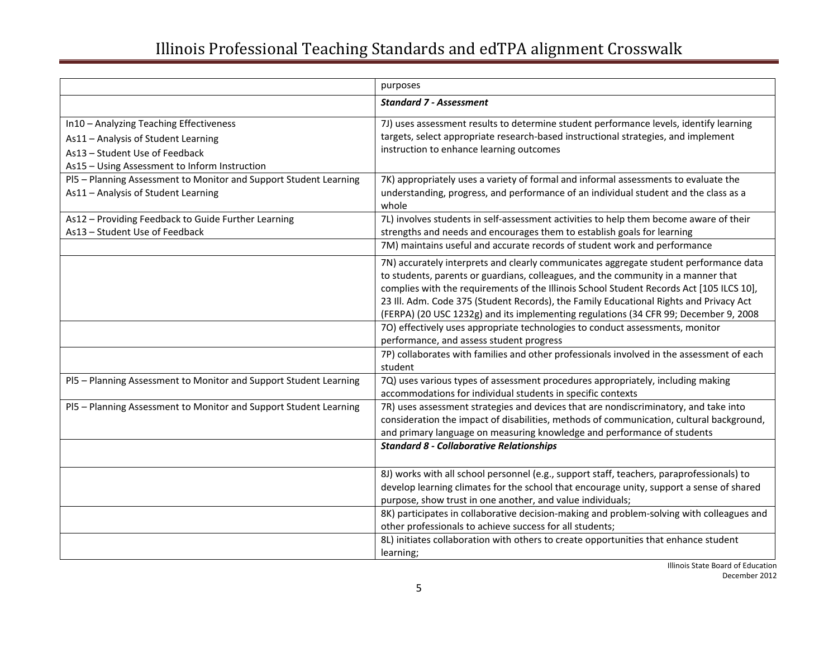|                                                                                                                                                                   | purposes                                                                                                                                                                                                                                                                                                                                                                                                                                                 |
|-------------------------------------------------------------------------------------------------------------------------------------------------------------------|----------------------------------------------------------------------------------------------------------------------------------------------------------------------------------------------------------------------------------------------------------------------------------------------------------------------------------------------------------------------------------------------------------------------------------------------------------|
|                                                                                                                                                                   | <b>Standard 7 - Assessment</b>                                                                                                                                                                                                                                                                                                                                                                                                                           |
| In10 - Analyzing Teaching Effectiveness<br>As11 - Analysis of Student Learning<br>As13 - Student Use of Feedback<br>As15 - Using Assessment to Inform Instruction | 7J) uses assessment results to determine student performance levels, identify learning<br>targets, select appropriate research-based instructional strategies, and implement<br>instruction to enhance learning outcomes                                                                                                                                                                                                                                 |
| PI5 - Planning Assessment to Monitor and Support Student Learning<br>As11 - Analysis of Student Learning                                                          | 7K) appropriately uses a variety of formal and informal assessments to evaluate the<br>understanding, progress, and performance of an individual student and the class as a<br>whole                                                                                                                                                                                                                                                                     |
| As12 - Providing Feedback to Guide Further Learning<br>As13 - Student Use of Feedback                                                                             | 7L) involves students in self-assessment activities to help them become aware of their<br>strengths and needs and encourages them to establish goals for learning<br>7M) maintains useful and accurate records of student work and performance                                                                                                                                                                                                           |
|                                                                                                                                                                   | 7N) accurately interprets and clearly communicates aggregate student performance data<br>to students, parents or guardians, colleagues, and the community in a manner that<br>complies with the requirements of the Illinois School Student Records Act [105 ILCS 10],<br>23 III. Adm. Code 375 (Student Records), the Family Educational Rights and Privacy Act<br>(FERPA) (20 USC 1232g) and its implementing regulations (34 CFR 99; December 9, 2008 |
|                                                                                                                                                                   | 70) effectively uses appropriate technologies to conduct assessments, monitor<br>performance, and assess student progress<br>7P) collaborates with families and other professionals involved in the assessment of each                                                                                                                                                                                                                                   |
| PI5 - Planning Assessment to Monitor and Support Student Learning                                                                                                 | student<br>7Q) uses various types of assessment procedures appropriately, including making<br>accommodations for individual students in specific contexts                                                                                                                                                                                                                                                                                                |
| PI5 - Planning Assessment to Monitor and Support Student Learning                                                                                                 | 7R) uses assessment strategies and devices that are nondiscriminatory, and take into<br>consideration the impact of disabilities, methods of communication, cultural background,<br>and primary language on measuring knowledge and performance of students                                                                                                                                                                                              |
|                                                                                                                                                                   | <b>Standard 8 - Collaborative Relationships</b>                                                                                                                                                                                                                                                                                                                                                                                                          |
|                                                                                                                                                                   | 8J) works with all school personnel (e.g., support staff, teachers, paraprofessionals) to<br>develop learning climates for the school that encourage unity, support a sense of shared<br>purpose, show trust in one another, and value individuals;<br>8K) participates in collaborative decision-making and problem-solving with colleagues and                                                                                                         |
|                                                                                                                                                                   | other professionals to achieve success for all students;<br>8L) initiates collaboration with others to create opportunities that enhance student<br>learning;                                                                                                                                                                                                                                                                                            |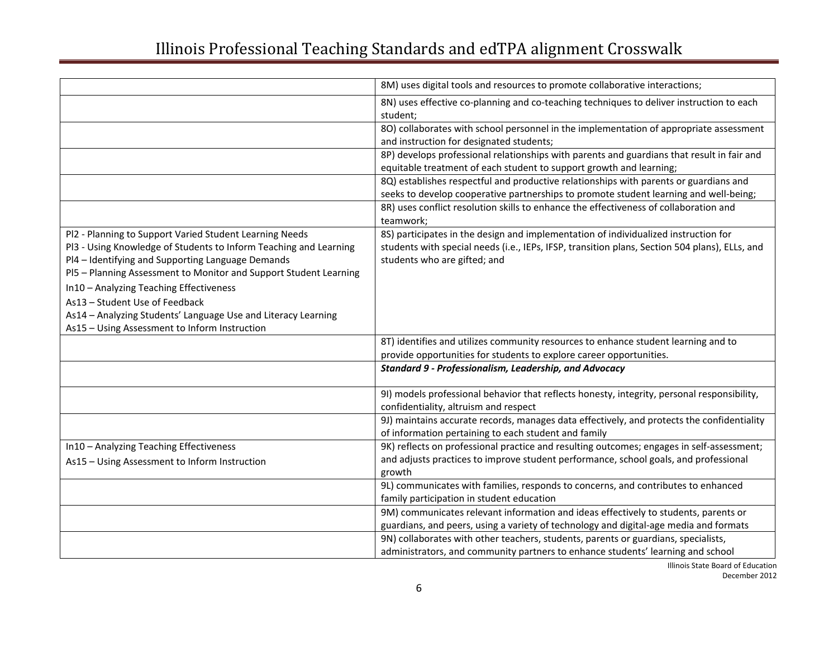|                                                                                                                                                                                                                                                                                                                                                                                                                                                       | 8M) uses digital tools and resources to promote collaborative interactions;                                                                                                                                           |
|-------------------------------------------------------------------------------------------------------------------------------------------------------------------------------------------------------------------------------------------------------------------------------------------------------------------------------------------------------------------------------------------------------------------------------------------------------|-----------------------------------------------------------------------------------------------------------------------------------------------------------------------------------------------------------------------|
|                                                                                                                                                                                                                                                                                                                                                                                                                                                       | 8N) uses effective co-planning and co-teaching techniques to deliver instruction to each<br>student;                                                                                                                  |
|                                                                                                                                                                                                                                                                                                                                                                                                                                                       | 80) collaborates with school personnel in the implementation of appropriate assessment<br>and instruction for designated students;                                                                                    |
|                                                                                                                                                                                                                                                                                                                                                                                                                                                       | 8P) develops professional relationships with parents and guardians that result in fair and<br>equitable treatment of each student to support growth and learning;                                                     |
|                                                                                                                                                                                                                                                                                                                                                                                                                                                       | 8Q) establishes respectful and productive relationships with parents or guardians and<br>seeks to develop cooperative partnerships to promote student learning and well-being;                                        |
|                                                                                                                                                                                                                                                                                                                                                                                                                                                       | 8R) uses conflict resolution skills to enhance the effectiveness of collaboration and<br>teamwork;                                                                                                                    |
| Pl2 - Planning to Support Varied Student Learning Needs<br>PI3 - Using Knowledge of Students to Inform Teaching and Learning<br>Pl4 - Identifying and Supporting Language Demands<br>PI5 - Planning Assessment to Monitor and Support Student Learning<br>In10 - Analyzing Teaching Effectiveness<br>As13 - Student Use of Feedback<br>As14 - Analyzing Students' Language Use and Literacy Learning<br>As15 - Using Assessment to Inform Instruction | 8S) participates in the design and implementation of individualized instruction for<br>students with special needs (i.e., IEPs, IFSP, transition plans, Section 504 plans), ELLs, and<br>students who are gifted; and |
|                                                                                                                                                                                                                                                                                                                                                                                                                                                       | 8T) identifies and utilizes community resources to enhance student learning and to<br>provide opportunities for students to explore career opportunities.                                                             |
|                                                                                                                                                                                                                                                                                                                                                                                                                                                       | <b>Standard 9 - Professionalism, Leadership, and Advocacy</b>                                                                                                                                                         |
|                                                                                                                                                                                                                                                                                                                                                                                                                                                       | 91) models professional behavior that reflects honesty, integrity, personal responsibility,<br>confidentiality, altruism and respect                                                                                  |
|                                                                                                                                                                                                                                                                                                                                                                                                                                                       | 9J) maintains accurate records, manages data effectively, and protects the confidentiality<br>of information pertaining to each student and family                                                                    |
| In10 - Analyzing Teaching Effectiveness                                                                                                                                                                                                                                                                                                                                                                                                               | 9K) reflects on professional practice and resulting outcomes; engages in self-assessment;                                                                                                                             |
| As15 - Using Assessment to Inform Instruction                                                                                                                                                                                                                                                                                                                                                                                                         | and adjusts practices to improve student performance, school goals, and professional<br>growth                                                                                                                        |
|                                                                                                                                                                                                                                                                                                                                                                                                                                                       | 9L) communicates with families, responds to concerns, and contributes to enhanced<br>family participation in student education                                                                                        |
|                                                                                                                                                                                                                                                                                                                                                                                                                                                       | 9M) communicates relevant information and ideas effectively to students, parents or<br>guardians, and peers, using a variety of technology and digital-age media and formats                                          |
|                                                                                                                                                                                                                                                                                                                                                                                                                                                       | 9N) collaborates with other teachers, students, parents or guardians, specialists,<br>administrators, and community partners to enhance students' learning and school                                                 |